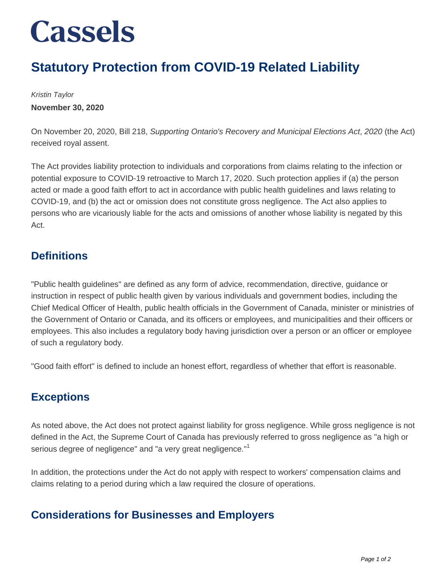## **Cassels**

### **Statutory Protection from COVID-19 Related Liability**

Kristin Taylor **November 30, 2020**

On November 20, 2020, Bill 218, Supporting Ontario's Recovery and Municipal Elections Act, 2020 (the Act) received royal assent.

The Act provides liability protection to individuals and corporations from claims relating to the infection or potential exposure to COVID-19 retroactive to March 17, 2020. Such protection applies if (a) the person acted or made a good faith effort to act in accordance with public health guidelines and laws relating to COVID-19, and (b) the act or omission does not constitute gross negligence. The Act also applies to persons who are vicariously liable for the acts and omissions of another whose liability is negated by this Act.

#### **Definitions**

"Public health guidelines" are defined as any form of advice, recommendation, directive, guidance or instruction in respect of public health given by various individuals and government bodies, including the Chief Medical Officer of Health, public health officials in the Government of Canada, minister or ministries of the Government of Ontario or Canada, and its officers or employees, and municipalities and their officers or employees. This also includes a regulatory body having jurisdiction over a person or an officer or employee of such a regulatory body.

"Good faith effort" is defined to include an honest effort, regardless of whether that effort is reasonable.

#### **Exceptions**

As noted above, the Act does not protect against liability for gross negligence. While gross negligence is not defined in the Act, the Supreme Court of Canada has previously referred to gross negligence as "a high or serious degree of negligence" and "a very great negligence."<sup>1</sup>

In addition, the protections under the Act do not apply with respect to workers' compensation claims and claims relating to a period during which a law required the closure of operations.

#### **Considerations for Businesses and Employers**